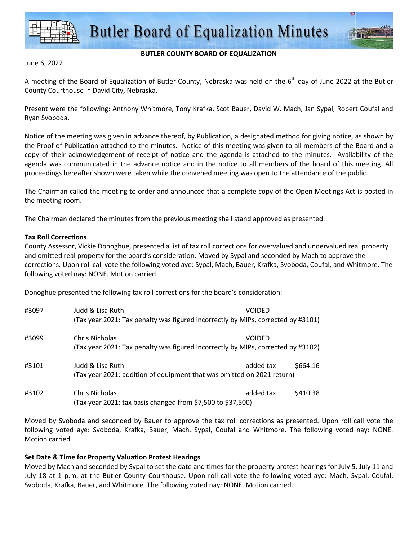

## **BUTLER COUNTY BOARD OF EQUALIZATION**

June 6, 2022

A meeting of the Board of Equalization of Butler County, Nebraska was held on the  $6<sup>th</sup>$  day of June 2022 at the Butler County Courthouse in David City, Nebraska.

Present were the following: Anthony Whitmore, Tony Krafka, Scot Bauer, David W. Mach, Jan Sypal, Robert Coufal and Ryan Svoboda.

Notice of the meeting was given in advance thereof, by Publication, a designated method for giving notice, as shown by the Proof of Publication attached to the minutes. Notice of this meeting was given to all members of the Board and a copy of their acknowledgement of receipt of notice and the agenda is attached to the minutes. Availability of the agenda was communicated in the advance notice and in the notice to all members of the board of this meeting. All proceedings hereafter shown were taken while the convened meeting was open to the attendance of the public.

The Chairman called the meeting to order and announced that a complete copy of the Open Meetings Act is posted in the meeting room.

The Chairman declared the minutes from the previous meeting shall stand approved as presented.

## **Tax Roll Corrections**

County Assessor, Vickie Donoghue, presented a list of tax roll corrections for overvalued and undervalued real property and omitted real property for the board's consideration. Moved by Sypal and seconded by Mach to approve the corrections. Upon roll call vote the following voted aye: Sypal, Mach, Bauer, Krafka, Svoboda, Coufal, and Whitmore. The following voted nay: NONE. Motion carried.

Donoghue presented the following tax roll corrections for the board's consideration:

| #3097 | Judd & Lisa Ruth                                                                 | VOIDED    |          |
|-------|----------------------------------------------------------------------------------|-----------|----------|
|       | (Tax year 2021: Tax penalty was figured incorrectly by MIPs, corrected by #3101) |           |          |
| #3099 | Chris Nicholas                                                                   | VOIDED    |          |
|       | (Tax year 2021: Tax penalty was figured incorrectly by MIPs, corrected by #3102) |           |          |
| #3101 | Judd & Lisa Ruth                                                                 | added tax | \$664.16 |
|       | (Tax year 2021: addition of equipment that was omitted on 2021 return)           |           |          |
| #3102 | Chris Nicholas                                                                   | added tax | \$410.38 |
|       | (Tax year 2021: tax basis changed from \$7,500 to \$37,500)                      |           |          |

Moved by Svoboda and seconded by Bauer to approve the tax roll corrections as presented. Upon roll call vote the following voted aye: Svoboda, Krafka, Bauer, Mach, Sypal, Coufal and Whitmore. The following voted nay: NONE. Motion carried.

## **Set Date & Time for Property Valuation Protest Hearings**

Moved by Mach and seconded by Sypal to set the date and times for the property protest hearings for July 5, July 11 and July 18 at 1 p.m. at the Butler County Courthouse. Upon roll call vote the following voted aye: Mach, Sypal, Coufal, Svoboda, Krafka, Bauer, and Whitmore. The following voted nay: NONE. Motion carried.